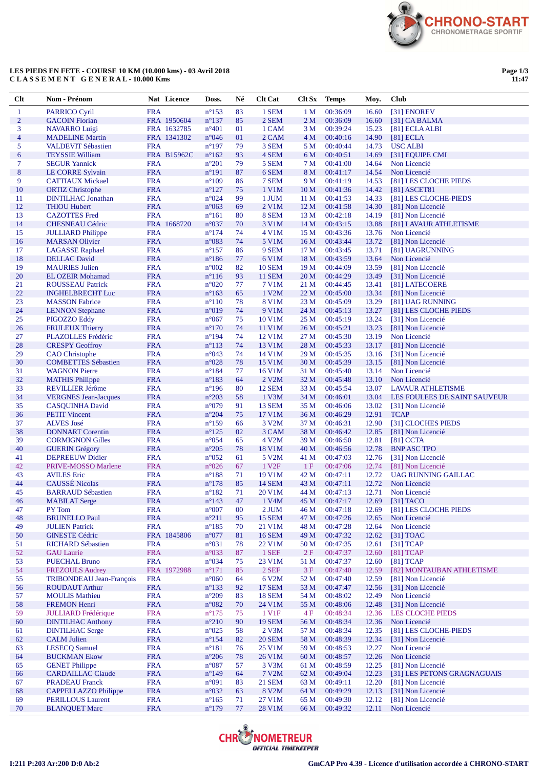

## **LES PIEDS EN FETE - COURSE 10 KM (10.000 kms) - 03 Avril 2018 C L A S S E M E N T G E N E R A L - 10.000 Kms**

**Page 1/3 11:47**

| $Cl$           | Nom - Prénom                                     |                          | Nat Licence        | Doss.                            | Né       | <b>Clt</b> Cat     | Clt Sx          | <b>Temps</b>         | Moy.           | <b>Club</b>                       |
|----------------|--------------------------------------------------|--------------------------|--------------------|----------------------------------|----------|--------------------|-----------------|----------------------|----------------|-----------------------------------|
| 1              | <b>PARRICO Cyril</b>                             | <b>FRA</b>               |                    | $n^{\circ}153$                   | 83       | 1 SEM              | 1 <sub>M</sub>  | 00:36:09             | 16.60          | [31] ENOREV                       |
| $\overline{2}$ | <b>GACOIN Florian</b>                            |                          | FRA 1950604        | $n^{\circ}137$                   | 85       | 2 SEM              | 2 <sub>M</sub>  | 00:36:09             | 16.60          | $[31]$ CA BALMA                   |
| 3              | <b>NAVARRO Luigi</b>                             |                          | FRA 1632785        | $n^{\circ}401$                   | 01       | 1 CAM              | 3 M             | 00:39:24             | 15.23          | [81] ECLA ALBI                    |
| $\overline{4}$ | <b>MADELINE Martin</b>                           |                          | FRA 1341302        | $n^{\circ}046$                   | 01       | 2 CAM              | 4 M             | 00:40:16             | 14.90          | $[81]$ ECLA                       |
| 5              | <b>VALDEVIT Sébastien</b>                        | <b>FRA</b>               |                    | $n^{\circ}197$                   | 79       | 3 SEM              | 5 M             | 00:40:44             | 14.73          | <b>USC ALBI</b>                   |
| 6              | <b>TEYSSIE William</b>                           |                          | <b>FRA B15962C</b> | $n^{\circ}162$                   | 93       | 4 SEM              | 6 M             | 00:40:51             | 14.69          | [31] EQUIPE CMI                   |
| 7              | <b>SEGUR Yannick</b>                             | <b>FRA</b>               |                    | $n^{\circ}201$                   | 79       | 5 SEM              | 7 M             | 00:41:00             | 14.64          | Non Licencié                      |
| $\bf 8$        | LE CORRE Sylvain                                 | <b>FRA</b>               |                    | $n^{\circ}191$                   | 87       | 6 SEM              | 8 M             | 00:41:17             | 14.54          | Non Licencié                      |
| 9              | <b>CATTIAUX Mickael</b>                          | <b>FRA</b>               |                    | $n^{\circ}109$                   | 86       | 7 SEM              | 9 M             | 00:41:19             | 14.53          | [81] LES CLOCHE PIEDS             |
| 10             | <b>ORTIZ Christophe</b>                          | <b>FRA</b>               |                    | $n^{\circ}127$                   | 75       | 1 V1M              | 10 <sub>M</sub> | 00:41:36             | 14.42          | [81] ASCET81                      |
| 11             | <b>DINTILHAC Jonathan</b>                        | <b>FRA</b>               |                    | n°024                            | 99       | 1 JUM              | 11 <sub>M</sub> | 00:41:53             | 14.33          | [81] LES CLOCHE-PIEDS             |
| 12             | <b>THIOU Hubert</b>                              | <b>FRA</b>               |                    | $n^{\circ}063$                   | 69       | 2 V1M              | 12 <sub>M</sub> | 00:41:58             | 14.30          | [81] Non Licencié                 |
| 13             | <b>CAZOTTES</b> Fred                             | <b>FRA</b>               |                    | $n^{\circ}161$                   | 80       | 8 SEM              | 13 M            | 00:42:18             | 14.19          | [81] Non Licencié                 |
| 14             | <b>CHESNEAU Cédric</b>                           |                          | FRA 1668720        | $n^{\circ}037$                   | 70       | 3 V1M              | 14 <sub>M</sub> | 00:43:15             | 13.88          | [81] LAVAUR ATHLETISME            |
| 15             | <b>JULLIARD</b> Philippe                         | <b>FRA</b>               |                    | $n^{\circ}174$                   | 74       | 4 V1M              | 15 M            | 00:43:36             | 13.76          | Non Licencié                      |
| 16             | <b>MARSAN Olivier</b>                            | <b>FRA</b>               |                    | n°083                            | 74       | 5 V1M              | 16 <sub>M</sub> | 00:43:44             | 13.72          | [81] Non Licencié                 |
| 17             | <b>LAGASSE</b> Raphael                           | <b>FRA</b>               |                    | $n^{\circ}157$                   | 86       | 9 SEM              | 17 <sub>M</sub> | 00:43:45             | 13.71          | [81] UAGRUNNING                   |
| 18             | <b>DELLAC</b> David                              | <b>FRA</b>               |                    | $n^{\circ}186$                   | 77       | 6 V1M              | 18 M            | 00:43:59             | 13.64          | Non Licencié                      |
| 19             | <b>MAURIES</b> Julien                            | <b>FRA</b>               |                    | $n^{\circ}002$                   | 82       | <b>10 SEM</b>      | 19 <sub>M</sub> | 00:44:09             | 13.59          | [81] Non Licencié                 |
| 20             | <b>EL OZEIR Mohamad</b>                          | <b>FRA</b>               |                    | $n^{\circ}116$                   | 93       | <b>11 SEM</b>      | 20 <sub>M</sub> | 00:44:29             | 13.49          | [31] Non Licencié                 |
| 21             | <b>ROUSSEAU Patrick</b>                          | <b>FRA</b>               |                    | $n^{\circ}020$                   | 77       | 7 V1M              | 21 M            | 00:44:45             | 13.41          | [81] LATECOERE                    |
| 22             | <b>INGHELBRECHT Luc</b>                          | <b>FRA</b>               |                    | $n^{\circ}163$                   | 65       | 1 V2M              | 22 M            | 00:45:00             | 13.34          | [81] Non Licencié                 |
| 23             | <b>MASSON Fabrice</b>                            | <b>FRA</b>               |                    | $n^{\circ}110$                   | 78       | 8 V1M              | 23 M            | 00:45:09             | 13.29          | [81] UAG RUNNING                  |
| 24             | <b>LENNON</b> Stephane                           | <b>FRA</b>               |                    | n°019                            | 74       | 9 V1M              | 24 M            | 00:45:13             | 13.27          | [81] LES CLOCHE PIEDS             |
| 25             | PIGOZZO Eddy                                     | <b>FRA</b>               |                    | $n^{\circ}067$                   | 75       | 10 V1M             | 25 M            | 00:45:19             | 13.24          | [31] Non Licencié                 |
| 26             | <b>FRULEUX Thierry</b>                           | <b>FRA</b>               |                    | $n^{\circ}170$                   | 74       | 11 V1M             | 26 M            | 00:45:21             | 13.23          | [81] Non Licencié                 |
| 27             | PLAZOLLES Frédéric                               | <b>FRA</b>               |                    | $n^{\circ}194$                   | 74       | 12 V1M             | 27 M            | 00:45:30             | 13.19          | Non Licencié                      |
| 28             | <b>CRESPY Geoffroy</b>                           | <b>FRA</b>               |                    | $n^{\circ}113$                   | 74       | 13 V1M             | 28 M            | 00:45:33             | 13.17          | [81] Non Licencié                 |
| 29             | <b>CAO</b> Christophe                            | <b>FRA</b>               |                    | n°043                            | 74       | 14 V1M             | 29 M            | 00:45:35             | 13.16          | [31] Non Licencié                 |
| 30             | <b>COMBETTES Sébastien</b>                       | <b>FRA</b>               |                    | $n^{\circ}028$                   | 78       | 15 V1M             | 30 M            | 00:45:39             | 13.15          | [81] Non Licencié                 |
| 31             | <b>WAGNON Pierre</b>                             | <b>FRA</b>               |                    | $n^{\circ}184$                   | 77       | 16 V1M             | 31 M            | 00:45:40             | 13.14          | Non Licencié                      |
| 32             | <b>MATHIS Philippe</b>                           | <b>FRA</b>               |                    | $n^{\circ}183$                   | 64       | 2 V2M              | 32 M            | 00:45:48             | 13.10          | Non Licencié                      |
| 33             | <b>REVILLIER Jérôme</b>                          | <b>FRA</b>               |                    | $n^{\circ}196$                   | 80       | <b>12 SEM</b>      | 33 M            | 00:45:54             | 13.07          | <b>LAVAUR ATHLETISME</b>          |
| 34             | <b>VERGNES</b> Jean-Jacques                      | <b>FRA</b>               |                    | $n^{\circ}203$                   | 58       | $1$ V $3M$         | 34 M            | 00:46:01             | 13.04          | LES FOULEES DE SAINT SAUVEUR      |
| 35             | <b>CASQUINHA David</b>                           | <b>FRA</b>               |                    | n°079                            | 91       | <b>13 SEM</b>      | 35 M            | 00:46:06             | 13.02          | [31] Non Licencié                 |
| 36             | <b>PETIT Vincent</b>                             | <b>FRA</b>               |                    | $n^{\circ}204$                   | 75       | 17 V1M             | 36 M            | 00:46:29             | 12.91          | <b>TCAP</b>                       |
| 37             | <b>ALVES</b> José                                | <b>FRA</b>               |                    | $n^{\circ}159$                   | 66       | 3 V <sub>2</sub> M | 37 M            | 00:46:31             | 12.90          | [31] CLOCHES PIEDS                |
| 38<br>39       | <b>DONNART</b> Corentin                          | <b>FRA</b><br><b>FRA</b> |                    | $n^{\circ}125$<br>$n^{\circ}054$ | 02<br>65 | 3 CAM<br>4 V2M     | 38 M<br>39 M    | 00:46:42<br>00:46:50 | 12.85          | [81] Non Licencié                 |
| 40             | <b>CORMIGNON Gilles</b><br><b>GUERIN Grégory</b> | <b>FRA</b>               |                    | $n^{\circ}205$                   | 78       | 18 V1M             | 40 M            | 00:46:56             | 12.81<br>12.78 | $[81]$ CCTA<br><b>BNP ASC TPO</b> |
| 41             | <b>DEPREEUW Didier</b>                           | <b>FRA</b>               |                    | $n^{\circ}052$                   | 61       | 5 V <sub>2</sub> M | 41 M            | 00:47:03             | 12.76          | [31] Non Licencié                 |
| 42             | PRIVE-MOSSO Marlene                              | <b>FRA</b>               |                    | $n^{\circ}026$                   | 67       | 1 V <sub>2F</sub>  | 1F              | 00:47:06             | 12.74          | [81] Non Licencié                 |
| 43             | <b>AVILES</b> Eric                               | <b>FRA</b>               |                    | $n^{\circ}188$                   | 71       | 19 V1M             | 42 M            | 00:47:11             | 12.72          | UAG RUNNING GAILLAC               |
| 44             | <b>CAUSSÉ</b> Nicolas                            | <b>FRA</b>               |                    | $n^{\circ}178$                   | 85       | <b>14 SEM</b>      | 43 M            | 00:47:11             | 12.72          | Non Licencié                      |
| 45             | <b>BARRAUD Sébastien</b>                         | <b>FRA</b>               |                    | $n^{\circ}182$                   | 71       | 20 V1M             | 44 M            | 00:47:13             | 12.71          | Non Licencié                      |
| 46             | <b>MABILAT</b> Serge                             | <b>FRA</b>               |                    | $n^{\circ}143$                   | 47       | 1 V <sub>4</sub> M | 45 M            | 00:47:17             | 12.69          | $[31]$ TACO                       |
| 47             | PY Tom                                           | <b>FRA</b>               |                    | $n^{\circ}007$                   | $00\,$   | 2 JUM              | 46 M            | 00:47:18             | 12.69          | [81] LES CLOCHE PIEDS             |
| 48             | <b>BRUNELLO Paul</b>                             | <b>FRA</b>               |                    | $n^{\circ}211$                   | 95       | <b>15 SEM</b>      | 47 M            | 00:47:26             | 12.65          | Non Licencié                      |
| 49             | <b>JULIEN Patrick</b>                            | <b>FRA</b>               |                    | $n^{\circ}185$                   | 70       | 21 V1M             | 48 M            | 00:47:28             | 12.64          | Non Licencié                      |
| 50             | <b>GINESTE Cédric</b>                            |                          | FRA 1845806        | $n^{\circ}077$                   | 81       | <b>16 SEM</b>      | 49 M            | 00:47:32             | 12.62          | [31] TOAC                         |
| 51             | <b>RICHARD Sébastien</b>                         | <b>FRA</b>               |                    | $n^{\circ}031$                   | 78       | 22 V1M             | 50 M            | 00:47:35             | 12.61          | [31] TCAP                         |
| 52             | <b>GAU Laurie</b>                                | <b>FRA</b>               |                    | n°033                            | 87       | 1 SEF              | 2F              | 00:47:37             | 12.60          | $[81]$ TCAP                       |
| 53             | <b>PUECHAL Bruno</b>                             | <b>FRA</b>               |                    | $n^{\circ}034$                   | 75       | 23 V1M             | 51 M            | 00:47:37             | 12.60          | $[81]$ TCAP                       |
| 54             | <b>FREZOULS Audrey</b>                           |                          | FRA 1972988        | $n^{\circ}171$                   | 85       | $2$ SEF            | 3F              | 00:47:40             | 12.59          | [82] MONTAUBAN ATHLETISME         |
| 55             | <b>TRIBONDEAU</b> Jean-François                  | <b>FRA</b>               |                    | $n^{\circ}060$                   | 64       | 6 V <sub>2</sub> M | 52 M            | 00:47:40             | 12.59          | [81] Non Licencié                 |
| 56             | <b>ROUDAUT Arthur</b>                            | <b>FRA</b>               |                    | $n^{\circ}133$                   | 92       | <b>17 SEM</b>      | 53 M            | 00:47:47             | 12.56          | [31] Non Licencié                 |
| 57             | <b>MOULIS</b> Mathieu                            | <b>FRA</b>               |                    | $n^{\circ}209$                   | 83       | <b>18 SEM</b>      | 54 M            | 00:48:02             | 12.49          | Non Licencié                      |
| 58             | <b>FREMON Henri</b>                              | <b>FRA</b>               |                    | $n^{\circ}082$                   | 70       | 24 V1M             | 55 M            | 00:48:06             | 12.48          | [31] Non Licencié                 |
| 59             | <b>JULLIARD</b> Frédérique                       | <b>FRA</b>               |                    | $n^{\circ}175$                   | 75       | 1 V1F              | 4 F             | 00:48:34             | 12.36          | <b>LES CLOCHE PIEDS</b>           |
| 60             | <b>DINTILHAC Anthony</b>                         | <b>FRA</b>               |                    | $n^{\circ}210$                   | 90       | <b>19 SEM</b>      | 56 M            | 00:48:34             | 12.36          | Non Licencié                      |
| 61             | <b>DINTILHAC Serge</b>                           | <b>FRA</b>               |                    | $n^{\circ}025$                   | 58       | 2 V3M              | 57 M            | 00:48:34             | 12.35          | [81] LES CLOCHE-PIEDS             |
| 62             | <b>CALM Julien</b>                               | <b>FRA</b>               |                    | $n^{\circ}154$                   | 82       | <b>20 SEM</b>      | 58 M            | 00:48:39             | 12.34          | [31] Non Licencié                 |
| 63             | <b>LESECQ Samuel</b>                             | <b>FRA</b>               |                    | $n^{\circ}181$                   | 76       | 25 V1M             | 59 M            | 00:48:53             | 12.27          | Non Licencié                      |
| 64             | <b>BUCKMAN Ekow</b>                              | <b>FRA</b>               |                    | $n^{\circ}206$                   | 78       | 26 V1M             | 60 M            | 00:48:57             | 12.26          | Non Licencié                      |
| 65             | <b>GENET Philippe</b>                            | <b>FRA</b>               |                    | $n^{\circ}087$                   | 57       | 3 V3M              | 61 M            | 00:48:59             | 12.25          | [81] Non Licencié                 |
| 66             | <b>CARDAILLAC Claude</b>                         | <b>FRA</b>               |                    | $n^{\circ}149$                   | 64       | 7 V2M              | 62 M            | 00:49:04             | 12.23          | [31] LES PETONS GRAGNAGUAIS       |
| 67             | <b>PRADEAU</b> Franck                            | <b>FRA</b>               |                    | n°091                            | 83       | <b>21 SEM</b>      | 63 M            | 00:49:11             | 12.20          | [81] Non Licencié                 |
| 68             | CAPPELLAZZO Philippe                             | <b>FRA</b>               |                    | n°032                            | 63       | 8 V2M              | 64 M            | 00:49:29             | 12.13          | [31] Non Licencié                 |
| 69             | <b>PERILLOUS Laurent</b>                         | <b>FRA</b>               |                    | $n^{\circ}165$                   | 71       | 27 V1M             | 65 M            | 00:49:30             | 12.12          | [81] Non Licencié                 |
| 70             | <b>BLANQUET Marc</b>                             | <b>FRA</b>               |                    | $n^{\circ}179$                   | 77       | 28 V1M             | 66 M            | 00:49:32             | 12.11          | Non Licencié                      |

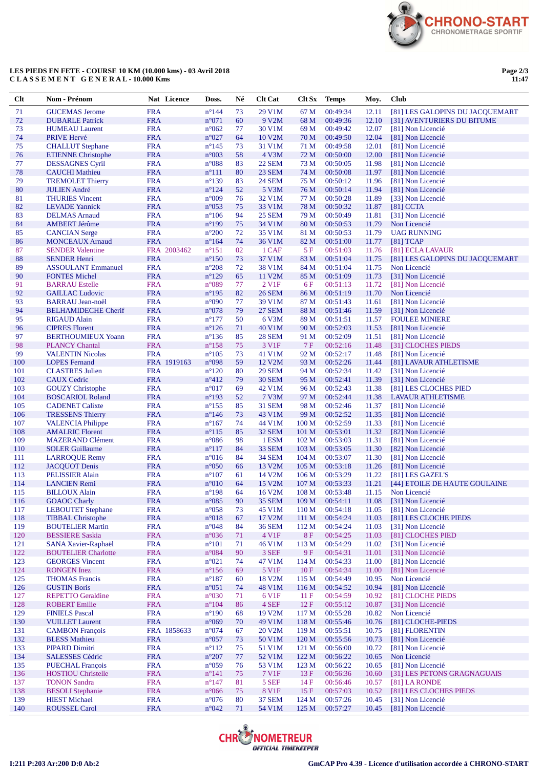

## **LES PIEDS EN FETE - COURSE 10 KM (10.000 kms) - 03 Avril 2018 C L A S S E M E N T G E N E R A L - 10.000 Kms**

**Page 2/3 11:47**

| Clt        | Nom - Prénom                                      |                          | Nat Licence | Doss.                            | Né       | <b>Clt Cat</b>                      |                           | Clt Sx Temps         | Moy.           | <b>Club</b>                                   |
|------------|---------------------------------------------------|--------------------------|-------------|----------------------------------|----------|-------------------------------------|---------------------------|----------------------|----------------|-----------------------------------------------|
| 71         | <b>GUCEMAS Jerome</b>                             | <b>FRA</b>               |             | $n^{\circ}$ 144                  | 73       | 29 V1M                              | 67 M                      | 00:49:34             | 12.11          | [81] LES GALOPINS DU JACQUEMART               |
| 72         | <b>DUBARLE Patrick</b>                            | <b>FRA</b>               |             | n°071                            | 60       | 9 V2M                               | 68 M                      | 00:49:36             | 12.10          | [31] AVENTURIERS DU BITUME                    |
| 73         | <b>HUMEAU Laurent</b>                             | <b>FRA</b>               |             | $n^{\circ}062$                   | 77       | 30 V1M                              | 69 M                      | 00:49:42             | 12.07          | [81] Non Licencié                             |
| 74         | PRIVE Hervé                                       | <b>FRA</b>               |             | $n^{\circ}027$                   | 64       | 10 V2M                              | 70 M                      | 00:49:50             | 12.04          | [81] Non Licencié                             |
| 75         | <b>CHALLUT</b> Stephane                           | <b>FRA</b>               |             | $n^{\circ}145$                   | 73       | 31 V1M                              | 71 M                      | 00:49:58             | 12.01          | [81] Non Licencié                             |
| 76         | <b>ETIENNE Christophe</b>                         | <b>FRA</b>               |             | $n^{\circ}003$                   | 58       | 4 V3M                               | 72 M                      | 00:50:00             | 12.00          | [81] Non Licencié                             |
| 77         | <b>DESSAGNES Cyril</b>                            | <b>FRA</b>               |             | $n^{\circ}088$                   | 83       | 22 SEM                              | 73 M                      | 00:50:05             | 11.98          | [81] Non Licencié                             |
| 78         | <b>CAUCHI</b> Mathieu                             | <b>FRA</b>               |             | $n^{\circ}111$                   | 80       | 23 SEM                              | 74 M                      | 00:50:08             | 11.97          | [81] Non Licencié                             |
| 79<br>80   | <b>TREMOLET Thierry</b><br><b>JULIEN André</b>    | <b>FRA</b><br><b>FRA</b> |             | $n^{\circ}139$<br>$n^{\circ}124$ | 83<br>52 | 24 SEM<br>5 V3M                     | 75 M<br>76 M              | 00:50:12<br>00:50:14 | 11.96<br>11.94 | [81] Non Licencié<br>[81] Non Licencié        |
| 81         | <b>THURIES Vincent</b>                            | <b>FRA</b>               |             | n°009                            | 76       | 32 V1M                              | 77 M                      | 00:50:28             | 11.89          | [33] Non Licencié                             |
| 82         | <b>LEVADE</b> Yannick                             | <b>FRA</b>               |             | $n^{\circ}053$                   | 75       | 33 V1M                              | 78 M                      | 00:50:32             | 11.87          | $[81]$ CCTA                                   |
| 83         | <b>DELMAS</b> Arnaud                              | <b>FRA</b>               |             | $n^{\circ}106$                   | 94       | <b>25 SEM</b>                       | 79 M                      | 00:50:49             | 11.81          | [31] Non Licencié                             |
| 84         | <b>AMBERT Jérôme</b>                              | <b>FRA</b>               |             | $n^{\circ}199$                   | 75       | 34 V1M                              | 80 M                      | 00:50:53             | 11.79          | Non Licencié                                  |
| 85         | <b>CANCIAN Serge</b>                              | <b>FRA</b>               |             | $n^{\circ}200$                   | 72       | 35 V1M                              | 81 M                      | 00:50:53             | 11.79          | <b>UAG RUNNING</b>                            |
| 86         | <b>MONCEAUX Arnaud</b>                            | <b>FRA</b>               |             | $n^{\circ}164$                   | 74       | 36 V1M                              | 82 M                      | 00:51:00             | 11.77          | $[81]$ TCAP                                   |
| 87         | <b>SENDER Valentine</b>                           |                          | FRA 2003462 | $n^{\circ}151$                   | 02       | 1 CAF                               | 5 F                       | 00:51:03             | 11.76          | [81] ECLA LAVAUR                              |
| 88         | <b>SENDER Henri</b>                               | <b>FRA</b>               |             | $n^{\circ}150$                   | 73       | 37 V1M                              | 83 M                      | 00:51:04             | 11.75          | [81] LES GALOPINS DU JACQUEMART               |
| 89         | <b>ASSOULANT Emmanuel</b>                         | <b>FRA</b>               |             | $n^{\circ}208$                   | 72       | 38 V1M                              | 84 M                      | 00:51:04             | 11.75          | Non Licencié                                  |
| 90         | <b>FONTES Michel</b>                              | <b>FRA</b>               |             | $n^{\circ}129$                   | 65       | 11 V2M                              | 85 M                      | 00:51:09             | 11.73          | [31] Non Licencié                             |
| 91<br>92   | <b>BARRAU</b> Estelle<br><b>GAILLAC Ludovic</b>   | <b>FRA</b><br><b>FRA</b> |             | n°089<br>$n^{\circ}195$          | 77<br>82 | 2 V <sub>1</sub> F<br><b>26 SEM</b> | 6 F<br>86 M               | 00:51:13<br>00:51:19 | 11.72<br>11.70 | [81] Non Licencié<br>Non Licencié             |
| 93         | <b>BARRAU Jean-noël</b>                           | <b>FRA</b>               |             | n°090                            | 77       | 39 V1M                              | 87 M                      | 00:51:43             | 11.61          | [81] Non Licencié                             |
| 94         | <b>BELHAMIDECHE Cherif</b>                        | <b>FRA</b>               |             | $n^{\circ}078$                   | 79       | <b>27 SEM</b>                       | 88 M                      | 00:51:46             | 11.59          | [31] Non Licencié                             |
| 95         | <b>RIGAUD Alain</b>                               | <b>FRA</b>               |             | $n^{\circ}177$                   | 50       | 6 V3M                               | 89 M                      | 00:51:51             | 11.57          | <b>FOULEE MINIERE</b>                         |
| 96         | <b>CIPRES Florent</b>                             | <b>FRA</b>               |             | $n^{\circ}126$                   | 71       | 40 V1M                              | 90 M                      | 00:52:03             | 11.53          | [81] Non Licencié                             |
| 97         | <b>BERTHOUMIEUX Yoann</b>                         | <b>FRA</b>               |             | $n^{\circ}136$                   | 85       | <b>28 SEM</b>                       | 91 M                      | 00:52:09             | 11.51          | [81] Non Licencié                             |
| 98         | <b>PLANCY Chantal</b>                             | <b>FRA</b>               |             | $n^{\circ}158$                   | 75       | 3 V1F                               | 7F                        | 00:52:16             | 11.48          | [31] CLOCHES PIEDS                            |
| 99         | <b>VALENTIN Nicolas</b>                           | <b>FRA</b>               |             | $n^{\circ}105$                   | 73       | 41 V1M                              | 92 M                      | 00:52:17             | 11.48          | [81] Non Licencié                             |
| 100        | <b>LOPES</b> Fernand                              |                          | FRA 1919163 | n°098                            | 59       | 12 V2M                              | 93 M                      | 00:52:26             | 11.44          | [81] LAVAUR ATHLETISME                        |
| 101        | <b>CLASTRES Julien</b>                            | <b>FRA</b>               |             | $n^{\circ}120$                   | 80       | <b>29 SEM</b>                       | 94 M                      | 00:52:34             | 11.42          | [31] Non Licencié                             |
| 102        | <b>CAUX Cedric</b>                                | <b>FRA</b>               |             | $n^{\circ}412$                   | 79       | <b>30 SEM</b>                       | 95 M                      | 00:52:41             | 11.39          | [31] Non Licencié                             |
| 103        | <b>GOUZY</b> Christophe                           | <b>FRA</b>               |             | $n^{\circ}017$                   | 69       | 42 V1M                              | 96 M                      | 00:52:43             | 11.38          | [81] LES CLOCHES PIED                         |
| 104<br>105 | <b>BOSCARIOL Roland</b><br><b>CADENET Calixte</b> | <b>FRA</b><br><b>FRA</b> |             | $n^{\circ}193$<br>$n^{\circ}155$ | 52<br>85 | <b>7 V3M</b><br><b>31 SEM</b>       | 97 M<br>98 M              | 00:52:44<br>00:52:46 | 11.38<br>11.37 | <b>LAVAUR ATHLETISME</b><br>[81] Non Licencié |
| 106        | <b>TRESSENS Thierry</b>                           | <b>FRA</b>               |             | $n^{\circ}$ 146                  | 73       | 43 V1M                              | 99 M                      | 00:52:52             | 11.35          | [81] Non Licencié                             |
| 107        | <b>VALENCIA Philippe</b>                          | <b>FRA</b>               |             | $n^{\circ}167$                   | 74       | 44 V1M                              | 100 <sub>M</sub>          | 00:52:59             | 11.33          | [81] Non Licencié                             |
| 108        | <b>AMALRIC Florent</b>                            | <b>FRA</b>               |             | $n^{\circ}115$                   | 85       | 32 SEM                              | 101 M                     | 00:53:01             | 11.32          | [82] Non Licencié                             |
| 109        | <b>MAZERAND Clément</b>                           | <b>FRA</b>               |             | $n^{\circ}086$                   | 98       | 1 ESM                               | 102 <sub>M</sub>          | 00:53:03             | 11.31          | [81] Non Licencié                             |
| 110        | <b>SOLER Guillaume</b>                            | <b>FRA</b>               |             | $n^{\circ}117$                   | 84       | <b>33 SEM</b>                       | 103 M                     | 00:53:05             | 11.30          | [82] Non Licencié                             |
| 111        | <b>LARROQUE Remy</b>                              | <b>FRA</b>               |             | $n^{\circ}016$                   | 84       | <b>34 SEM</b>                       | 104 M                     | 00:53:07             | 11.30          | [81] Non Licencié                             |
| 112        | <b>JACQUOT</b> Denis                              | <b>FRA</b>               |             | $n^{\circ}050$                   | 66       | 13 V <sub>2</sub> M                 | 105 <sub>M</sub>          | 00:53:18             | 11.26          | [81] Non Licencié                             |
| 113        | <b>PELISSIER Alain</b>                            | <b>FRA</b>               |             | $n^{\circ}107$                   | 61       | 14 V2M                              | 106 <sub>M</sub>          | 00:53:29             | 11.22          | [81] LES GAZEL'S                              |
| 114        | <b>LANCIEN Remi</b>                               | <b>FRA</b>               |             | $n^{\circ}010$                   | 64       | 15 V2M                              | 107 M                     | 00:53:33             | 11.21          | [44] ETOILE DE HAUTE GOULAINE                 |
| 115        | <b>BILLOUX Alain</b>                              | <b>FRA</b>               |             | $n^{\circ}198$                   | 64<br>90 | 16 V2M                              | 108 M                     | 00:53:48             | 11.15          | Non Licencié                                  |
| 116<br>117 | <b>GOAOC</b> Charly<br><b>LEBOUTET Stephane</b>   | <b>FRA</b><br><b>FRA</b> |             | $n^{\circ}085$<br>$n^{\circ}058$ | 73       | <b>35 SEM</b><br>45 V1M             | 109 M<br>110 <sub>M</sub> | 00:54:11<br>00:54:18 | 11.08<br>11.05 | [31] Non Licencié<br>[81] Non Licencié        |
| 118        | <b>TIBBAL Christophe</b>                          | <b>FRA</b>               |             | $n^{\circ}018$                   | 67       | 17 V2M                              | 111 M                     | 00:54:24             | 11.03          | [81] LES CLOCHE PIEDS                         |
| 119        | <b>BOUTELIER Martin</b>                           | <b>FRA</b>               |             | $n^{\circ}048$                   | 84       | <b>36 SEM</b>                       | 112 M                     | 00:54:24             | 11.03          | [31] Non Licencié                             |
| 120        | <b>BESSIERE Saskia</b>                            | <b>FRA</b>               |             | $n^{\circ}036$                   | 71       | 4 V1F                               | 8F                        | 00:54:25             | 11.03          | [81] CLOCHES PIED                             |
| 121        | SANA Xavier-Raphaël                               | <b>FRA</b>               |             | $n^{\circ}101$                   | 71       | 46 V1M                              | 113 M                     | 00:54:29             | 11.02          | [31] Non Licencié                             |
| 122        | <b>BOUTELIER Charlotte</b>                        | <b>FRA</b>               |             | $n^{\circ}084$                   | 90       | 3 SEF                               | 9 F                       | 00:54:31             | 11.01          | [31] Non Licencié                             |
| 123        | <b>GEORGES</b> Vincent                            | <b>FRA</b>               |             | $n^{\circ}021$                   | 74       | 47 V1M                              | 114 M                     | 00:54:33             | 11.00          | [81] Non Licencié                             |
| 124        | <b>RONGEN</b> Inez                                | <b>FRA</b>               |             | $n^{\circ}156$                   | 69       | 5 V1F                               | 10F                       | 00:54:34             | 11.00          | [81] Non Licencié                             |
| 125        | <b>THOMAS</b> Francis                             | <b>FRA</b>               |             | $n^{\circ}187$                   | 60       | 18 V2M                              | 115 M                     | 00:54:49             | 10.95          | Non Licencié                                  |
| 126<br>127 | <b>GUSTIN Boris</b><br><b>REPETTO Geraldine</b>   | <b>FRA</b>               |             | $n^{\circ}051$<br>$n^{\circ}030$ | 74       | 48 V1M<br>6 V1F                     | 116 M                     | 00:54:52             | 10.94          | [81] Non Licencié                             |
| 128        | <b>ROBERT</b> Emilie                              | <b>FRA</b><br><b>FRA</b> |             | $n^{\circ}104$                   | 71<br>86 | 4 SEF                               | 11F<br>12F                | 00:54:59<br>00:55:12 | 10.92<br>10.87 | [81] CLOCHE PIEDS<br>[31] Non Licencié        |
| 129        | <b>FINIELS Pascal</b>                             | <b>FRA</b>               |             | $n^{\circ}190$                   | 68       | 19 V2M                              | 117 M                     | 00:55:28             | 10.82          | Non Licencié                                  |
| 130        | <b>VUILLET</b> Laurent                            | <b>FRA</b>               |             | n°069                            | 70       | 49 V1M                              | 118 M                     | 00:55:46             | 10.76          | [81] CLOCHE-PIEDS                             |
| 131        | <b>CAMBON François</b>                            |                          | FRA 1858633 | $n^{\circ}074$                   | 67       | 20 V2M                              | 119 M                     | 00:55:51             | 10.75          | [81] FLORENTIN                                |
| 132        | <b>BLESS Mathieu</b>                              | <b>FRA</b>               |             | $n^{\circ}057$                   | 73       | 50 V1M                              | 120 M                     | 00:55:56             | 10.73          | [81] Non Licencié                             |
| 133        | <b>PIPARD Dimitri</b>                             | <b>FRA</b>               |             | $n^{\circ}112$                   | 75       | 51 V1M                              | 121 M                     | 00:56:00             | 10.72          | [81] Non Licencié                             |
| 134        | <b>SALESSES Cédric</b>                            | <b>FRA</b>               |             | $n^{\circ}207$                   | 77       | 52 V1M                              | 122 M                     | 00:56:22             | 10.65          | Non Licencié                                  |
| 135        | <b>PUECHAL François</b>                           | <b>FRA</b>               |             | $n^{\circ}059$                   | 76       | 53 V1M                              | 123 M                     | 00:56:22             | 10.65          | [81] Non Licencié                             |
| 136        | <b>HOSTIOU Christelle</b>                         | <b>FRA</b>               |             | $n^{\circ}141$                   | 75       | 7 V1F                               | 13F                       | 00:56:36             | 10.60          | [31] LES PETONS GRAGNAGUAIS                   |
| 137        | <b>TONON Sandra</b>                               | <b>FRA</b>               |             | $n^{\circ}147$                   | 81       | 5 SEF                               | 14F                       | 00:56:46             | 10.57          | $[81]$ LA RONDE                               |
| 138        | <b>BESOLI</b> Stephanie                           | <b>FRA</b>               |             | $n^{\circ}066$                   | 75       | 8 V1F                               | 15F                       | 00:57:03             | 10.52          | [81] LES CLOCHES PIEDS                        |
| 139<br>140 | <b>HIEST</b> Michael<br><b>ROUSSEL Carol</b>      | <b>FRA</b><br><b>FRA</b> |             | $n^{\circ}076$<br>$n^{\circ}042$ | 80<br>71 | <b>37 SEM</b><br>54 V1M             | 124 M<br>125 M            | 00:57:26<br>00:57:27 | 10.45<br>10.45 | [31] Non Licencié<br>[81] Non Licencié        |
|            |                                                   |                          |             |                                  |          |                                     |                           |                      |                |                                               |